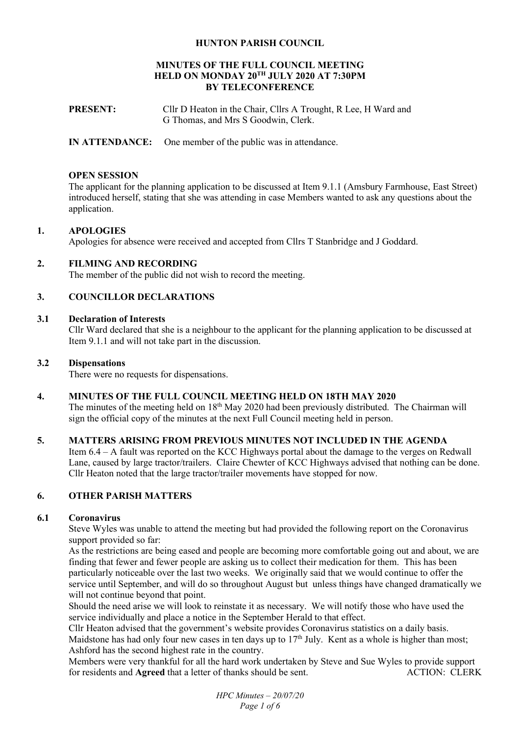## **HUNTON PARISH COUNCIL**

### **MINUTES OF THE FULL COUNCIL MEETING HELD ON MONDAY 20TH JULY 2020 AT 7:30PM BY TELECONFERENCE**

- **PRESENT:** Cllr D Heaton in the Chair, Cllrs A Trought, R Lee, H Ward and G Thomas, and Mrs S Goodwin, Clerk.
- **IN ATTENDANCE:** One member of the public was in attendance.

### **OPEN SESSION**

The applicant for the planning application to be discussed at Item 9.1.1 (Amsbury Farmhouse, East Street) introduced herself, stating that she was attending in case Members wanted to ask any questions about the application.

## **1. APOLOGIES**

Apologies for absence were received and accepted from Cllrs T Stanbridge and J Goddard.

## **2. FILMING AND RECORDING**

The member of the public did not wish to record the meeting.

## **3. COUNCILLOR DECLARATIONS**

## **3.1 Declaration of Interests**

Cllr Ward declared that she is a neighbour to the applicant for the planning application to be discussed at Item 9.1.1 and will not take part in the discussion.

### **3.2 Dispensations**

There were no requests for dispensations.

### **4. MINUTES OF THE FULL COUNCIL MEETING HELD ON 18TH MAY 2020**

The minutes of the meeting held on 18<sup>th</sup> May 2020 had been previously distributed. The Chairman will sign the official copy of the minutes at the next Full Council meeting held in person.

## **5. MATTERS ARISING FROM PREVIOUS MINUTES NOT INCLUDED IN THE AGENDA**

Item 6.4 – A fault was reported on the KCC Highways portal about the damage to the verges on Redwall Lane, caused by large tractor/trailers. Claire Chewter of KCC Highways advised that nothing can be done. Cllr Heaton noted that the large tractor/trailer movements have stopped for now.

### **6. OTHER PARISH MATTERS**

### **6.1 Coronavirus**

Steve Wyles was unable to attend the meeting but had provided the following report on the Coronavirus support provided so far:

As the restrictions are being eased and people are becoming more comfortable going out and about, we are finding that fewer and fewer people are asking us to collect their medication for them. This has been particularly noticeable over the last two weeks. We originally said that we would continue to offer the service until September, and will do so throughout August but unless things have changed dramatically we will not continue beyond that point.

Should the need arise we will look to reinstate it as necessary. We will notify those who have used the service individually and place a notice in the September Herald to that effect.

Cllr Heaton advised that the government's website provides Coronavirus statistics on a daily basis. Maidstone has had only four new cases in ten days up to  $17<sup>th</sup>$  July. Kent as a whole is higher than most; Ashford has the second highest rate in the country.

Members were very thankful for all the hard work undertaken by Steve and Sue Wyles to provide support for residents and **Agreed** that a letter of thanks should be sent. ACTION: CLERK

> *HPC Minutes – 20/07/20 Page 1 of 6*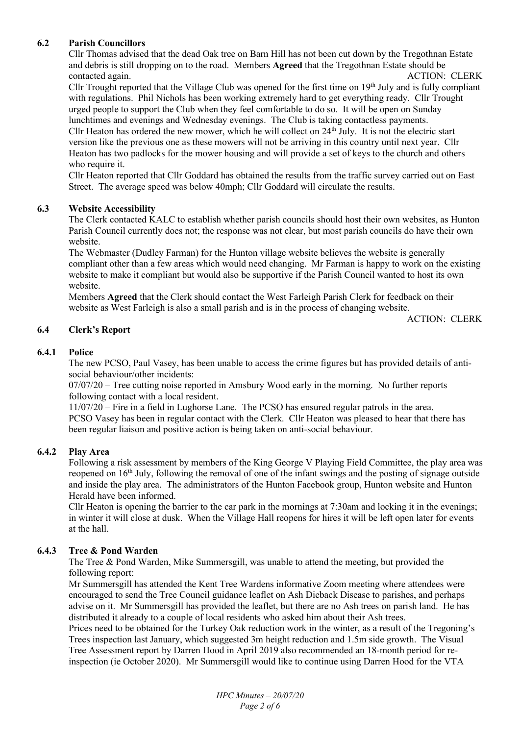# **6.2 Parish Councillors**

Cllr Thomas advised that the dead Oak tree on Barn Hill has not been cut down by the Tregothnan Estate and debris is still dropping on to the road. Members **Agreed** that the Tregothnan Estate should be contacted again. ACTION: CLERK

Cllr Trought reported that the Village Club was opened for the first time on  $19<sup>th</sup>$  July and is fully compliant with regulations. Phil Nichols has been working extremely hard to get everything ready. Cllr Trought urged people to support the Club when they feel comfortable to do so. It will be open on Sunday lunchtimes and evenings and Wednesday evenings. The Club is taking contactless payments.

Cllr Heaton has ordered the new mower, which he will collect on  $24<sup>th</sup>$  July. It is not the electric start version like the previous one as these mowers will not be arriving in this country until next year. Cllr Heaton has two padlocks for the mower housing and will provide a set of keys to the church and others who require it.

Cllr Heaton reported that Cllr Goddard has obtained the results from the traffic survey carried out on East Street. The average speed was below 40mph; Cllr Goddard will circulate the results.

## **6.3 Website Accessibility**

The Clerk contacted KALC to establish whether parish councils should host their own websites, as Hunton Parish Council currently does not; the response was not clear, but most parish councils do have their own website.

The Webmaster (Dudley Farman) for the Hunton village website believes the website is generally compliant other than a few areas which would need changing. Mr Farman is happy to work on the existing website to make it compliant but would also be supportive if the Parish Council wanted to host its own website.

Members **Agreed** that the Clerk should contact the West Farleigh Parish Clerk for feedback on their website as West Farleigh is also a small parish and is in the process of changing website.

ACTION: CLERK

## **6.4 Clerk's Report**

## **6.4.1 Police**

The new PCSO, Paul Vasey, has been unable to access the crime figures but has provided details of antisocial behaviour/other incidents:

07/07/20 – Tree cutting noise reported in Amsbury Wood early in the morning. No further reports following contact with a local resident.

11/07/20 – Fire in a field in Lughorse Lane. The PCSO has ensured regular patrols in the area. PCSO Vasey has been in regular contact with the Clerk. Cllr Heaton was pleased to hear that there has been regular liaison and positive action is being taken on anti-social behaviour.

### **6.4.2 Play Area**

Following a risk assessment by members of the King George V Playing Field Committee, the play area was reopened on 16<sup>th</sup> July, following the removal of one of the infant swings and the posting of signage outside and inside the play area. The administrators of the Hunton Facebook group, Hunton website and Hunton Herald have been informed.

Cllr Heaton is opening the barrier to the car park in the mornings at 7:30am and locking it in the evenings; in winter it will close at dusk. When the Village Hall reopens for hires it will be left open later for events at the hall.

### **6.4.3 Tree & Pond Warden**

The Tree & Pond Warden, Mike Summersgill, was unable to attend the meeting, but provided the following report:

Mr Summersgill has attended the Kent Tree Wardens informative Zoom meeting where attendees were encouraged to send the Tree Council guidance leaflet on Ash Dieback Disease to parishes, and perhaps advise on it. Mr Summersgill has provided the leaflet, but there are no Ash trees on parish land. He has distributed it already to a couple of local residents who asked him about their Ash trees.

Prices need to be obtained for the Turkey Oak reduction work in the winter, as a result of the Tregoning's Trees inspection last January, which suggested 3m height reduction and 1.5m side growth. The Visual Tree Assessment report by Darren Hood in April 2019 also recommended an 18-month period for reinspection (ie October 2020). Mr Summersgill would like to continue using Darren Hood for the VTA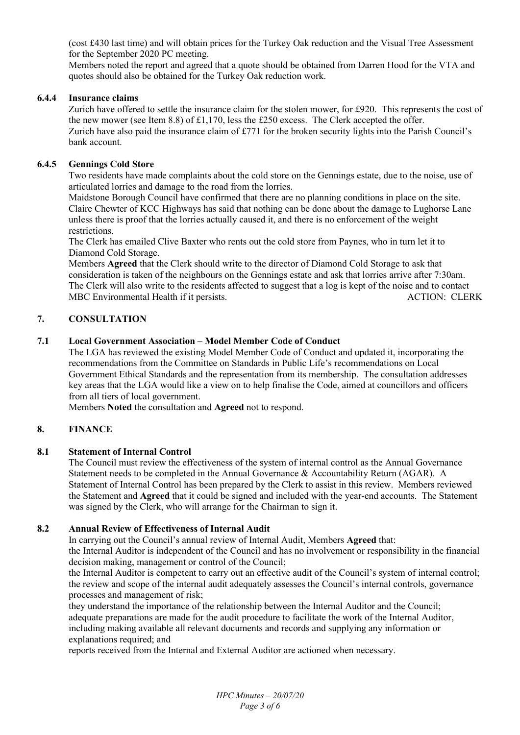(cost £430 last time) and will obtain prices for the Turkey Oak reduction and the Visual Tree Assessment for the September 2020 PC meeting.

Members noted the report and agreed that a quote should be obtained from Darren Hood for the VTA and quotes should also be obtained for the Turkey Oak reduction work.

## **6.4.4 Insurance claims**

Zurich have offered to settle the insurance claim for the stolen mower, for £920. This represents the cost of the new mower (see Item 8.8) of £1,170, less the £250 excess. The Clerk accepted the offer. Zurich have also paid the insurance claim of £771 for the broken security lights into the Parish Council's bank account.

## **6.4.5 Gennings Cold Store**

Two residents have made complaints about the cold store on the Gennings estate, due to the noise, use of articulated lorries and damage to the road from the lorries.

Maidstone Borough Council have confirmed that there are no planning conditions in place on the site. Claire Chewter of KCC Highways has said that nothing can be done about the damage to Lughorse Lane unless there is proof that the lorries actually caused it, and there is no enforcement of the weight restrictions.

The Clerk has emailed Clive Baxter who rents out the cold store from Paynes, who in turn let it to Diamond Cold Storage.

Members **Agreed** that the Clerk should write to the director of Diamond Cold Storage to ask that consideration is taken of the neighbours on the Gennings estate and ask that lorries arrive after 7:30am. The Clerk will also write to the residents affected to suggest that a log is kept of the noise and to contact MBC Environmental Health if it persists. ACTION: CLERK

## **7. CONSULTATION**

## **7.1 Local Government Association – Model Member Code of Conduct**

The LGA has reviewed the existing Model Member Code of Conduct and updated it, incorporating the recommendations from the Committee on Standards in Public Life's recommendations on Local Government Ethical Standards and the representation from its membership. The consultation addresses key areas that the LGA would like a view on to help finalise the Code, aimed at councillors and officers from all tiers of local government.

Members **Noted** the consultation and **Agreed** not to respond.

## **8. FINANCE**

## **8.1 Statement of Internal Control**

The Council must review the effectiveness of the system of internal control as the Annual Governance Statement needs to be completed in the Annual Governance & Accountability Return (AGAR). A Statement of Internal Control has been prepared by the Clerk to assist in this review. Members reviewed the Statement and **Agreed** that it could be signed and included with the year-end accounts. The Statement was signed by the Clerk, who will arrange for the Chairman to sign it.

## **8.2 Annual Review of Effectiveness of Internal Audit**

In carrying out the Council's annual review of Internal Audit, Members **Agreed** that:

the Internal Auditor is independent of the Council and has no involvement or responsibility in the financial decision making, management or control of the Council;

the Internal Auditor is competent to carry out an effective audit of the Council's system of internal control; the review and scope of the internal audit adequately assesses the Council's internal controls, governance processes and management of risk;

they understand the importance of the relationship between the Internal Auditor and the Council; adequate preparations are made for the audit procedure to facilitate the work of the Internal Auditor, including making available all relevant documents and records and supplying any information or explanations required; and

reports received from the Internal and External Auditor are actioned when necessary.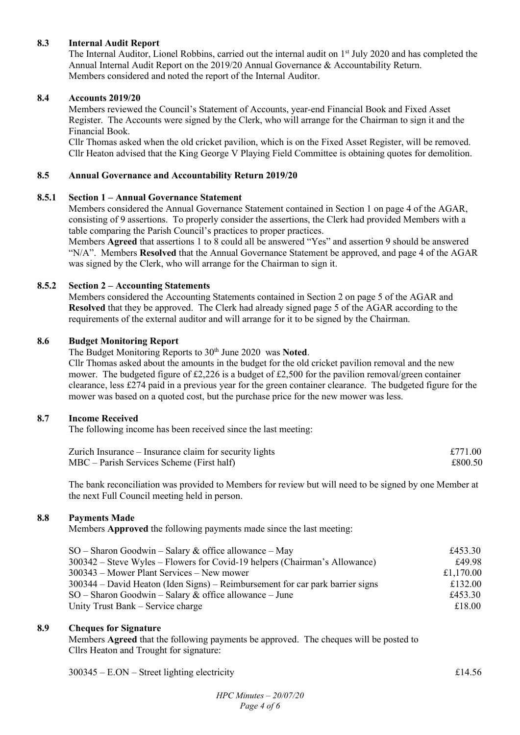## **8.3 Internal Audit Report**

The Internal Auditor, Lionel Robbins, carried out the internal audit on 1<sup>st</sup> July 2020 and has completed the Annual Internal Audit Report on the 2019/20 Annual Governance & Accountability Return. Members considered and noted the report of the Internal Auditor.

## **8.4 Accounts 2019/20**

Members reviewed the Council's Statement of Accounts, year-end Financial Book and Fixed Asset Register. The Accounts were signed by the Clerk, who will arrange for the Chairman to sign it and the Financial Book.

Cllr Thomas asked when the old cricket pavilion, which is on the Fixed Asset Register, will be removed. Cllr Heaton advised that the King George V Playing Field Committee is obtaining quotes for demolition.

## **8.5 Annual Governance and Accountability Return 2019/20**

## **8.5.1 Section 1 – Annual Governance Statement**

Members considered the Annual Governance Statement contained in Section 1 on page 4 of the AGAR, consisting of 9 assertions. To properly consider the assertions, the Clerk had provided Members with a table comparing the Parish Council's practices to proper practices.

Members **Agreed** that assertions 1 to 8 could all be answered "Yes" and assertion 9 should be answered "N/A". Members **Resolved** that the Annual Governance Statement be approved, and page 4 of the AGAR was signed by the Clerk, who will arrange for the Chairman to sign it.

## **8.5.2 Section 2 – Accounting Statements**

Members considered the Accounting Statements contained in Section 2 on page 5 of the AGAR and **Resolved** that they be approved. The Clerk had already signed page 5 of the AGAR according to the requirements of the external auditor and will arrange for it to be signed by the Chairman.

## **8.6 Budget Monitoring Report**

The Budget Monitoring Reports to 30<sup>th</sup> June 2020 was Noted.

Cllr Thomas asked about the amounts in the budget for the old cricket pavilion removal and the new mower. The budgeted figure of £2,226 is a budget of £2,500 for the pavilion removal/green container clearance, less £274 paid in a previous year for the green container clearance. The budgeted figure for the mower was based on a quoted cost, but the purchase price for the new mower was less.

### **8.7 Income Received**

The following income has been received since the last meeting:

| Zurich Insurance – Insurance claim for security lights | £771.00 |
|--------------------------------------------------------|---------|
| $MBC - Parish$ Services Scheme (First half)            | £800.50 |

The bank reconciliation was provided to Members for review but will need to be signed by one Member at the next Full Council meeting held in person.

## **8.8 Payments Made**

Members **Approved** the following payments made since the last meeting:

| $SO -$ Sharon Goodwin – Salary & office allowance – May                       | £453.30   |
|-------------------------------------------------------------------------------|-----------|
| 300342 – Steve Wyles – Flowers for Covid-19 helpers (Chairman's Allowance)    | £49.98    |
| 300343 – Mower Plant Services – New mower                                     | £1,170.00 |
| 300344 – David Heaton (Iden Signs) – Reimbursement for car park barrier signs | £132.00   |
| $SO -$ Sharon Goodwin – Salary & office allowance – June                      | £453.30   |
| Unity Trust Bank – Service charge                                             | £18.00    |

### **8.9 Cheques for Signature**

Members **Agreed** that the following payments be approved. The cheques will be posted to Cllrs Heaton and Trought for signature:

 $300345 - E. ON - Street lighting electricity$   $£14.56$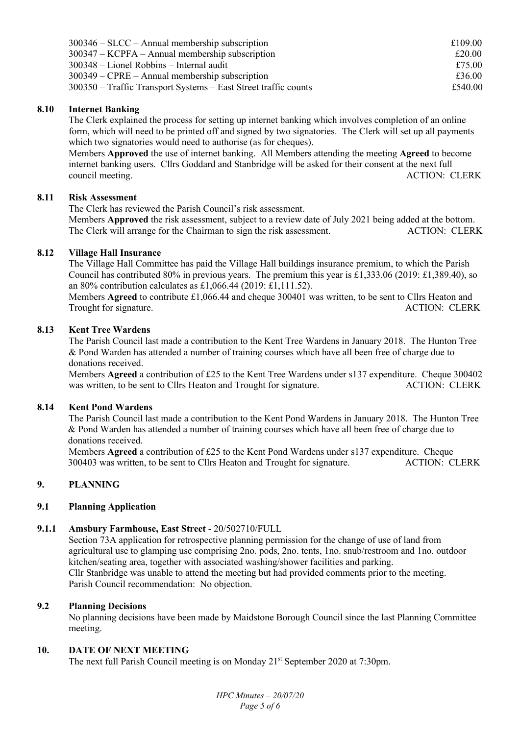| $300346 - SLCC - Annual membership$ subscription                  | £109.00 |
|-------------------------------------------------------------------|---------|
| $300347 - KCPFA - Annual membership$ subscription                 | £20.00  |
| $300348$ – Lionel Robbins – Internal audit                        | £75.00  |
| $300349 - \text{CPRE} - \text{Annual membership subscription}$    | £36.00  |
| $300350$ – Traffic Transport Systems – East Street traffic counts | £540.00 |

## **8.10 Internet Banking**

The Clerk explained the process for setting up internet banking which involves completion of an online form, which will need to be printed off and signed by two signatories. The Clerk will set up all payments which two signatories would need to authorise (as for cheques).

Members **Approved** the use of internet banking. All Members attending the meeting **Agreed** to become internet banking users. Cllrs Goddard and Stanbridge will be asked for their consent at the next full council meeting. ACTION: CLERK

## **8.11 Risk Assessment**

The Clerk has reviewed the Parish Council's risk assessment.

Members **Approved** the risk assessment, subject to a review date of July 2021 being added at the bottom. The Clerk will arrange for the Chairman to sign the risk assessment. ACTION: CLERK

## **8.12 Village Hall Insurance**

The Village Hall Committee has paid the Village Hall buildings insurance premium, to which the Parish Council has contributed 80% in previous years. The premium this year is £1,333.06 (2019: £1,389.40), so an 80% contribution calculates as £1,066.44 (2019: £1,111.52).

Members **Agreed** to contribute £1,066.44 and cheque 300401 was written, to be sent to Cllrs Heaton and Trought for signature. ACTION: CLERK Trought for signature.

## **8.13 Kent Tree Wardens**

The Parish Council last made a contribution to the Kent Tree Wardens in January 2018. The Hunton Tree & Pond Warden has attended a number of training courses which have all been free of charge due to donations received.

Members **Agreed** a contribution of £25 to the Kent Tree Wardens under s137 expenditure. Cheque 300402 was written, to be sent to Cllrs Heaton and Trought for signature. ACTION: CLERK

### **8.14 Kent Pond Wardens**

 The Parish Council last made a contribution to the Kent Pond Wardens in January 2018. The Hunton Tree & Pond Warden has attended a number of training courses which have all been free of charge due to donations received.

 Members **Agreed** a contribution of £25 to the Kent Pond Wardens under s137 expenditure. Cheque 300403 was written, to be sent to Cllrs Heaton and Trought for signature. ACTION: CLERK

## **9. PLANNING**

### **9.1 Planning Application**

## **9.1.1 Amsbury Farmhouse, East Street** - 20/502710/FULL

Section 73A application for retrospective planning permission for the change of use of land from agricultural use to glamping use comprising 2no. pods, 2no. tents, 1no. snub/restroom and 1no. outdoor kitchen/seating area, together with associated washing/shower facilities and parking. Cllr Stanbridge was unable to attend the meeting but had provided comments prior to the meeting. Parish Council recommendation: No objection.

## **9.2 Planning Decisions**

No planning decisions have been made by Maidstone Borough Council since the last Planning Committee meeting.

### **10. DATE OF NEXT MEETING**

The next full Parish Council meeting is on Monday 21<sup>st</sup> September 2020 at 7:30pm.